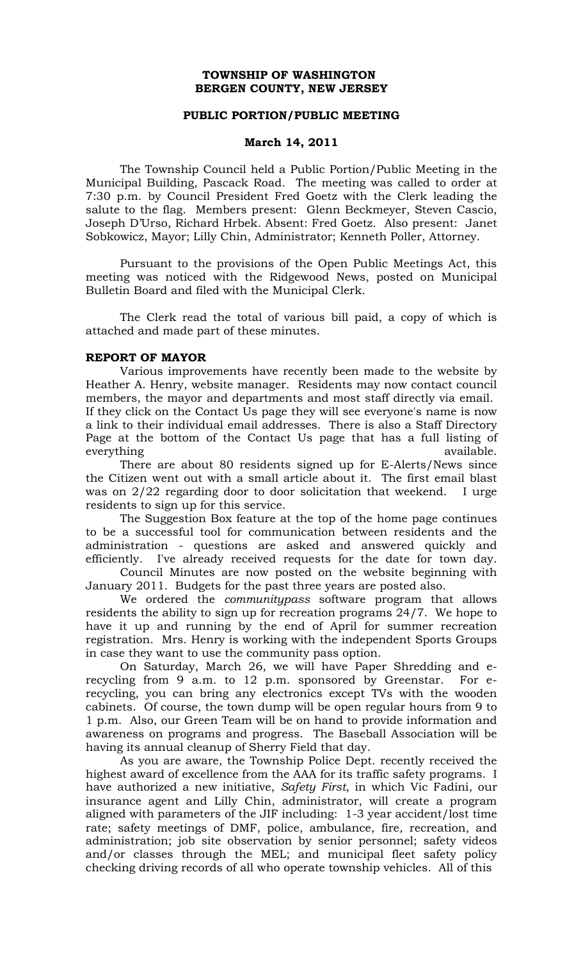## **TOWNSHIP OF WASHINGTON BERGEN COUNTY, NEW JERSEY**

## **PUBLIC PORTION/PUBLIC MEETING**

### **March 14, 2011**

The Township Council held a Public Portion/Public Meeting in the Municipal Building, Pascack Road. The meeting was called to order at 7:30 p.m. by Council President Fred Goetz with the Clerk leading the salute to the flag. Members present: Glenn Beckmeyer, Steven Cascio, Joseph D'Urso, Richard Hrbek. Absent: Fred Goetz. Also present: Janet Sobkowicz, Mayor; Lilly Chin, Administrator; Kenneth Poller, Attorney.

Pursuant to the provisions of the Open Public Meetings Act, this meeting was noticed with the Ridgewood News, posted on Municipal Bulletin Board and filed with the Municipal Clerk.

The Clerk read the total of various bill paid, a copy of which is attached and made part of these minutes.

## **REPORT OF MAYOR**

Various improvements have recently been made to the website by Heather A. Henry, website manager. Residents may now contact council members, the mayor and departments and most staff directly via email. If they click on the Contact Us page they will see everyone's name is now a link to their individual email addresses. There is also a Staff Directory Page at the bottom of the Contact Us page that has a full listing of everything available.

There are about 80 residents signed up for E-Alerts/News since the Citizen went out with a small article about it. The first email blast was on 2/22 regarding door to door solicitation that weekend. I urge residents to sign up for this service.

The Suggestion Box feature at the top of the home page continues to be a successful tool for communication between residents and the administration - questions are asked and answered quickly and efficiently. I've already received requests for the date for town day.

Council Minutes are now posted on the website beginning with January 2011. Budgets for the past three years are posted also.

We ordered the *communitypass* software program that allows residents the ability to sign up for recreation programs 24/7. We hope to have it up and running by the end of April for summer recreation registration. Mrs. Henry is working with the independent Sports Groups in case they want to use the community pass option.

On Saturday, March 26, we will have Paper Shredding and erecycling from 9 a.m. to 12 p.m. sponsored by Greenstar. For erecycling, you can bring any electronics except TVs with the wooden cabinets. Of course, the town dump will be open regular hours from 9 to 1 p.m. Also, our Green Team will be on hand to provide information and awareness on programs and progress. The Baseball Association will be having its annual cleanup of Sherry Field that day.

As you are aware, the Township Police Dept. recently received the highest award of excellence from the AAA for its traffic safety programs. I have authorized a new initiative, *Safety First*, in which Vic Fadini, our insurance agent and Lilly Chin, administrator, will create a program aligned with parameters of the JIF including: 1-3 year accident/lost time rate; safety meetings of DMF, police, ambulance, fire, recreation, and administration; job site observation by senior personnel; safety videos and/or classes through the MEL; and municipal fleet safety policy checking driving records of all who operate township vehicles. All of this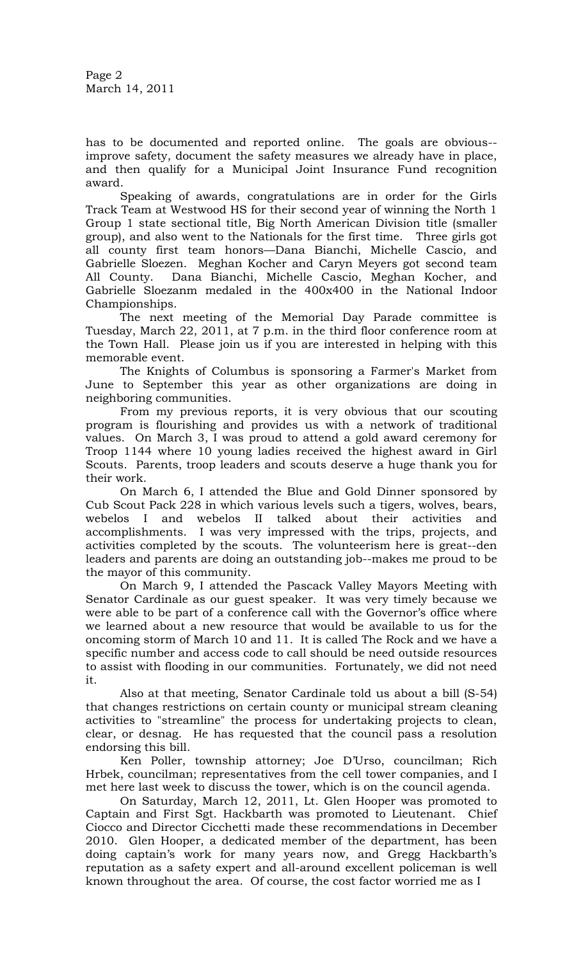Page 2 March 14, 2011

has to be documented and reported online. The goals are obvious- improve safety, document the safety measures we already have in place, and then qualify for a Municipal Joint Insurance Fund recognition award.

Speaking of awards, congratulations are in order for the Girls Track Team at Westwood HS for their second year of winning the North 1 Group 1 state sectional title, Big North American Division title (smaller group), and also went to the Nationals for the first time. Three girls got all county first team honors—Dana Bianchi, Michelle Cascio, and Gabrielle Sloezen. Meghan Kocher and Caryn Meyers got second team All County. Dana Bianchi, Michelle Cascio, Meghan Kocher, and Gabrielle Sloezanm medaled in the 400x400 in the National Indoor Championships.

The next meeting of the Memorial Day Parade committee is Tuesday, March 22, 2011, at 7 p.m. in the third floor conference room at the Town Hall. Please join us if you are interested in helping with this memorable event.

The Knights of Columbus is sponsoring a Farmer's Market from June to September this year as other organizations are doing in neighboring communities.

From my previous reports, it is very obvious that our scouting program is flourishing and provides us with a network of traditional values. On March 3, I was proud to attend a gold award ceremony for Troop 1144 where 10 young ladies received the highest award in Girl Scouts. Parents, troop leaders and scouts deserve a huge thank you for their work.

On March 6, I attended the Blue and Gold Dinner sponsored by Cub Scout Pack 228 in which various levels such a tigers, wolves, bears, webelos I and webelos II talked about their activities and accomplishments. I was very impressed with the trips, projects, and activities completed by the scouts. The volunteerism here is great--den leaders and parents are doing an outstanding job--makes me proud to be the mayor of this community.

On March 9, I attended the Pascack Valley Mayors Meeting with Senator Cardinale as our guest speaker. It was very timely because we were able to be part of a conference call with the Governor's office where we learned about a new resource that would be available to us for the oncoming storm of March 10 and 11. It is called The Rock and we have a specific number and access code to call should be need outside resources to assist with flooding in our communities. Fortunately, we did not need it.

Also at that meeting, Senator Cardinale told us about a bill (S-54) that changes restrictions on certain county or municipal stream cleaning activities to "streamline" the process for undertaking projects to clean, clear, or desnag. He has requested that the council pass a resolution endorsing this bill.

Ken Poller, township attorney; Joe D'Urso, councilman; Rich Hrbek, councilman; representatives from the cell tower companies, and I met here last week to discuss the tower, which is on the council agenda.

On Saturday, March 12, 2011, Lt. Glen Hooper was promoted to Captain and First Sgt. Hackbarth was promoted to Lieutenant. Chief Ciocco and Director Cicchetti made these recommendations in December 2010. Glen Hooper, a dedicated member of the department, has been doing captain's work for many years now, and Gregg Hackbarth's reputation as a safety expert and all-around excellent policeman is well known throughout the area. Of course, the cost factor worried me as I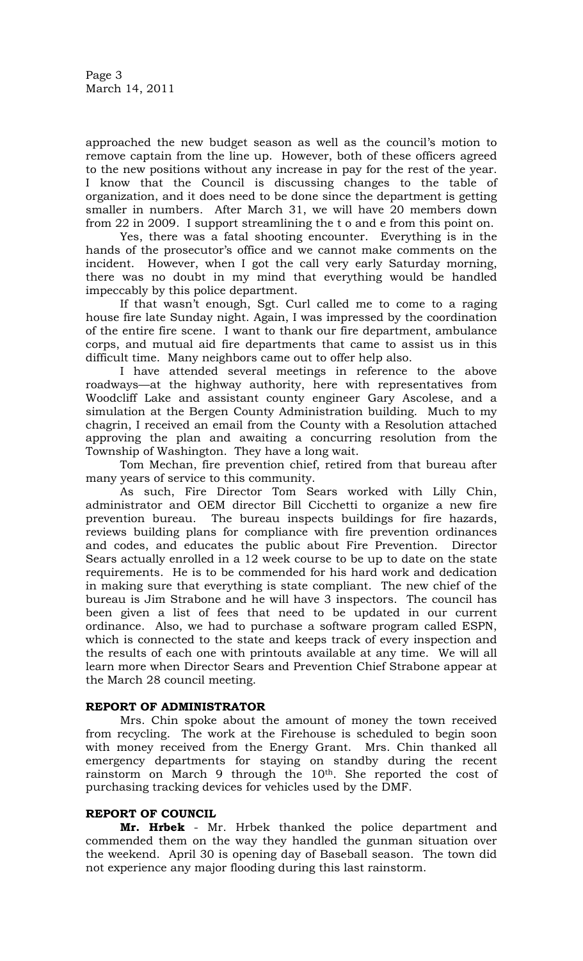approached the new budget season as well as the council's motion to remove captain from the line up. However, both of these officers agreed to the new positions without any increase in pay for the rest of the year. I know that the Council is discussing changes to the table of organization, and it does need to be done since the department is getting smaller in numbers. After March 31, we will have 20 members down from 22 in 2009. I support streamlining the t o and e from this point on.

Yes, there was a fatal shooting encounter. Everything is in the hands of the prosecutor's office and we cannot make comments on the incident. However, when I got the call very early Saturday morning, there was no doubt in my mind that everything would be handled impeccably by this police department.

If that wasn't enough, Sgt. Curl called me to come to a raging house fire late Sunday night. Again, I was impressed by the coordination of the entire fire scene. I want to thank our fire department, ambulance corps, and mutual aid fire departments that came to assist us in this difficult time. Many neighbors came out to offer help also.

 I have attended several meetings in reference to the above roadways—at the highway authority, here with representatives from Woodcliff Lake and assistant county engineer Gary Ascolese, and a simulation at the Bergen County Administration building. Much to my chagrin, I received an email from the County with a Resolution attached approving the plan and awaiting a concurring resolution from the Township of Washington. They have a long wait.

Tom Mechan, fire prevention chief, retired from that bureau after many years of service to this community.

As such, Fire Director Tom Sears worked with Lilly Chin, administrator and OEM director Bill Cicchetti to organize a new fire prevention bureau. The bureau inspects buildings for fire hazards, reviews building plans for compliance with fire prevention ordinances and codes, and educates the public about Fire Prevention. Director Sears actually enrolled in a 12 week course to be up to date on the state requirements. He is to be commended for his hard work and dedication in making sure that everything is state compliant. The new chief of the bureau is Jim Strabone and he will have 3 inspectors. The council has been given a list of fees that need to be updated in our current ordinance. Also, we had to purchase a software program called ESPN, which is connected to the state and keeps track of every inspection and the results of each one with printouts available at any time. We will all learn more when Director Sears and Prevention Chief Strabone appear at the March 28 council meeting.

# **REPORT OF ADMINISTRATOR**

Mrs. Chin spoke about the amount of money the town received from recycling. The work at the Firehouse is scheduled to begin soon with money received from the Energy Grant. Mrs. Chin thanked all emergency departments for staying on standby during the recent rainstorm on March 9 through the 10th. She reported the cost of purchasing tracking devices for vehicles used by the DMF.

# **REPORT OF COUNCIL**

**Mr. Hrbek** - Mr. Hrbek thanked the police department and commended them on the way they handled the gunman situation over the weekend. April 30 is opening day of Baseball season. The town did not experience any major flooding during this last rainstorm.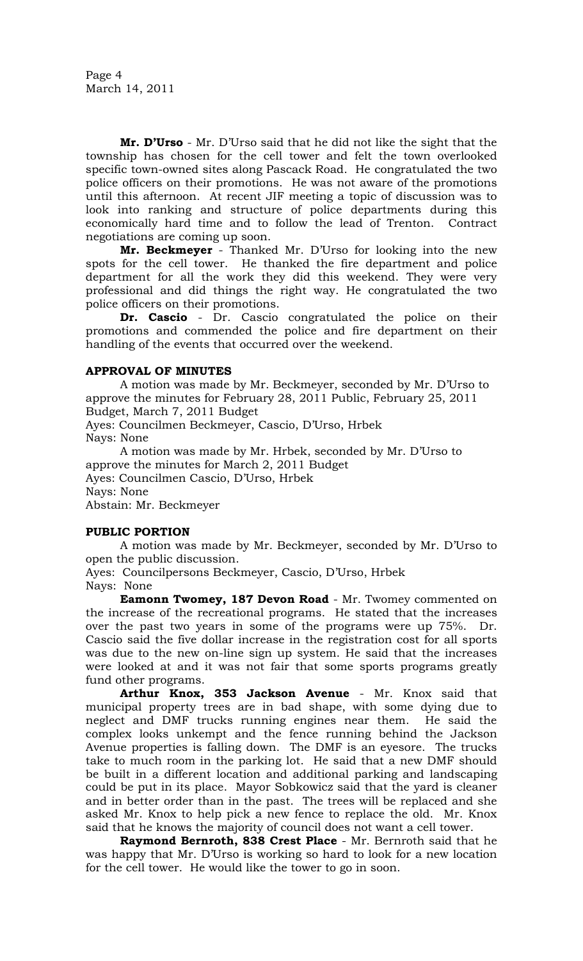Page 4 March 14, 2011

**Mr. D'Urso** - Mr. D'Urso said that he did not like the sight that the township has chosen for the cell tower and felt the town overlooked specific town-owned sites along Pascack Road. He congratulated the two police officers on their promotions. He was not aware of the promotions until this afternoon. At recent JIF meeting a topic of discussion was to look into ranking and structure of police departments during this economically hard time and to follow the lead of Trenton. Contract negotiations are coming up soon.

**Mr. Beckmeyer** - Thanked Mr. D'Urso for looking into the new spots for the cell tower. He thanked the fire department and police department for all the work they did this weekend. They were very professional and did things the right way. He congratulated the two police officers on their promotions.

**Dr. Cascio** - Dr. Cascio congratulated the police on their promotions and commended the police and fire department on their handling of the events that occurred over the weekend.

# **APPROVAL OF MINUTES**

A motion was made by Mr. Beckmeyer, seconded by Mr. D'Urso to approve the minutes for February 28, 2011 Public, February 25, 2011 Budget, March 7, 2011 Budget

Ayes: Councilmen Beckmeyer, Cascio, D'Urso, Hrbek Nays: None

A motion was made by Mr. Hrbek, seconded by Mr. D'Urso to approve the minutes for March 2, 2011 Budget Ayes: Councilmen Cascio, D'Urso, Hrbek Nays: None Abstain: Mr. Beckmeyer

#### **PUBLIC PORTION**

A motion was made by Mr. Beckmeyer, seconded by Mr. D'Urso to open the public discussion.

Ayes: Councilpersons Beckmeyer, Cascio, D'Urso, Hrbek Nays: None

**Eamonn Twomey, 187 Devon Road** - Mr. Twomey commented on the increase of the recreational programs. He stated that the increases over the past two years in some of the programs were up 75%. Dr. Cascio said the five dollar increase in the registration cost for all sports was due to the new on-line sign up system. He said that the increases were looked at and it was not fair that some sports programs greatly fund other programs.

**Arthur Knox, 353 Jackson Avenue** - Mr. Knox said that municipal property trees are in bad shape, with some dying due to neglect and DMF trucks running engines near them. He said the complex looks unkempt and the fence running behind the Jackson Avenue properties is falling down. The DMF is an eyesore. The trucks take to much room in the parking lot. He said that a new DMF should be built in a different location and additional parking and landscaping could be put in its place. Mayor Sobkowicz said that the yard is cleaner and in better order than in the past. The trees will be replaced and she asked Mr. Knox to help pick a new fence to replace the old. Mr. Knox said that he knows the majority of council does not want a cell tower.

**Raymond Bernroth, 838 Crest Place** - Mr. Bernroth said that he was happy that Mr. D'Urso is working so hard to look for a new location for the cell tower. He would like the tower to go in soon.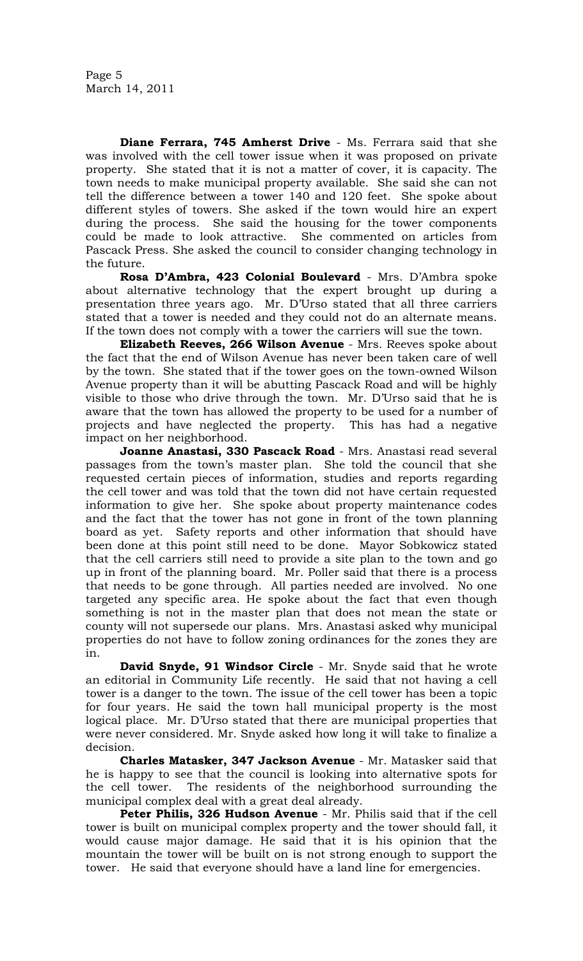**Diane Ferrara, 745 Amherst Drive** - Ms. Ferrara said that she was involved with the cell tower issue when it was proposed on private property. She stated that it is not a matter of cover, it is capacity. The town needs to make municipal property available. She said she can not tell the difference between a tower 140 and 120 feet. She spoke about different styles of towers. She asked if the town would hire an expert during the process. She said the housing for the tower components could be made to look attractive. She commented on articles from Pascack Press. She asked the council to consider changing technology in the future.

**Rosa D'Ambra, 423 Colonial Boulevard** - Mrs. D'Ambra spoke about alternative technology that the expert brought up during a presentation three years ago. Mr. D'Urso stated that all three carriers stated that a tower is needed and they could not do an alternate means. If the town does not comply with a tower the carriers will sue the town.

**Elizabeth Reeves, 266 Wilson Avenue** - Mrs. Reeves spoke about the fact that the end of Wilson Avenue has never been taken care of well by the town. She stated that if the tower goes on the town-owned Wilson Avenue property than it will be abutting Pascack Road and will be highly visible to those who drive through the town. Mr. D'Urso said that he is aware that the town has allowed the property to be used for a number of projects and have neglected the property. This has had a negative impact on her neighborhood.

**Joanne Anastasi, 330 Pascack Road** - Mrs. Anastasi read several passages from the town's master plan. She told the council that she requested certain pieces of information, studies and reports regarding the cell tower and was told that the town did not have certain requested information to give her. She spoke about property maintenance codes and the fact that the tower has not gone in front of the town planning board as yet. Safety reports and other information that should have been done at this point still need to be done. Mayor Sobkowicz stated that the cell carriers still need to provide a site plan to the town and go up in front of the planning board. Mr. Poller said that there is a process that needs to be gone through. All parties needed are involved. No one targeted any specific area. He spoke about the fact that even though something is not in the master plan that does not mean the state or county will not supersede our plans. Mrs. Anastasi asked why municipal properties do not have to follow zoning ordinances for the zones they are in.

**David Snyde, 91 Windsor Circle** - Mr. Snyde said that he wrote an editorial in Community Life recently. He said that not having a cell tower is a danger to the town. The issue of the cell tower has been a topic for four years. He said the town hall municipal property is the most logical place. Mr. D'Urso stated that there are municipal properties that were never considered. Mr. Snyde asked how long it will take to finalize a decision.

**Charles Matasker, 347 Jackson Avenue** - Mr. Matasker said that he is happy to see that the council is looking into alternative spots for the cell tower. The residents of the neighborhood surrounding the municipal complex deal with a great deal already.

**Peter Philis, 326 Hudson Avenue** - Mr. Philis said that if the cell tower is built on municipal complex property and the tower should fall, it would cause major damage. He said that it is his opinion that the mountain the tower will be built on is not strong enough to support the tower. He said that everyone should have a land line for emergencies.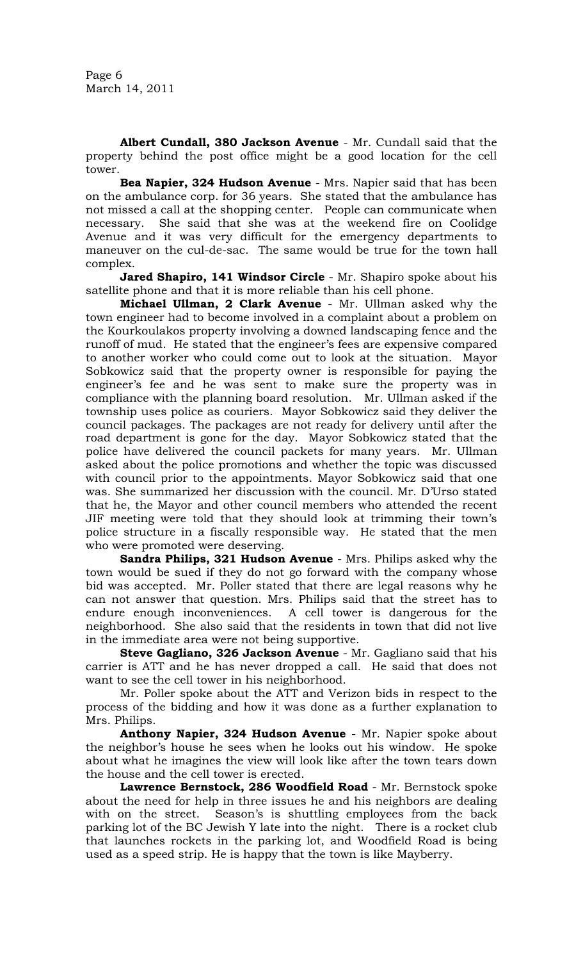Page 6 March 14, 2011

**Albert Cundall, 380 Jackson Avenue** - Mr. Cundall said that the property behind the post office might be a good location for the cell tower.

**Bea Napier, 324 Hudson Avenue** - Mrs. Napier said that has been on the ambulance corp. for 36 years. She stated that the ambulance has not missed a call at the shopping center. People can communicate when necessary. She said that she was at the weekend fire on Coolidge Avenue and it was very difficult for the emergency departments to maneuver on the cul-de-sac. The same would be true for the town hall complex.

**Jared Shapiro, 141 Windsor Circle** - Mr. Shapiro spoke about his satellite phone and that it is more reliable than his cell phone.

**Michael Ullman, 2 Clark Avenue** - Mr. Ullman asked why the town engineer had to become involved in a complaint about a problem on the Kourkoulakos property involving a downed landscaping fence and the runoff of mud. He stated that the engineer's fees are expensive compared to another worker who could come out to look at the situation. Mayor Sobkowicz said that the property owner is responsible for paying the engineer's fee and he was sent to make sure the property was in compliance with the planning board resolution. Mr. Ullman asked if the township uses police as couriers. Mayor Sobkowicz said they deliver the council packages. The packages are not ready for delivery until after the road department is gone for the day. Mayor Sobkowicz stated that the police have delivered the council packets for many years. Mr. Ullman asked about the police promotions and whether the topic was discussed with council prior to the appointments. Mayor Sobkowicz said that one was. She summarized her discussion with the council. Mr. D'Urso stated that he, the Mayor and other council members who attended the recent JIF meeting were told that they should look at trimming their town's police structure in a fiscally responsible way. He stated that the men who were promoted were deserving.

**Sandra Philips, 321 Hudson Avenue** - Mrs. Philips asked why the town would be sued if they do not go forward with the company whose bid was accepted. Mr. Poller stated that there are legal reasons why he can not answer that question. Mrs. Philips said that the street has to endure enough inconveniences. A cell tower is dangerous for the neighborhood. She also said that the residents in town that did not live in the immediate area were not being supportive.

**Steve Gagliano, 326 Jackson Avenue** - Mr. Gagliano said that his carrier is ATT and he has never dropped a call. He said that does not want to see the cell tower in his neighborhood.

Mr. Poller spoke about the ATT and Verizon bids in respect to the process of the bidding and how it was done as a further explanation to Mrs. Philips.

**Anthony Napier, 324 Hudson Avenue** - Mr. Napier spoke about the neighbor's house he sees when he looks out his window. He spoke about what he imagines the view will look like after the town tears down the house and the cell tower is erected.

**Lawrence Bernstock, 286 Woodfield Road** - Mr. Bernstock spoke about the need for help in three issues he and his neighbors are dealing with on the street. Season's is shuttling employees from the back parking lot of the BC Jewish Y late into the night. There is a rocket club that launches rockets in the parking lot, and Woodfield Road is being used as a speed strip. He is happy that the town is like Mayberry.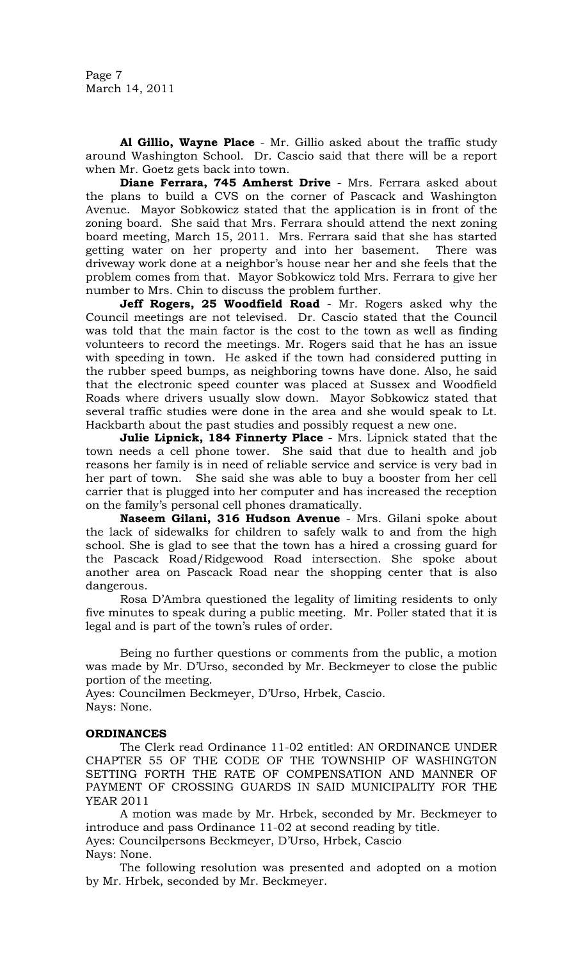Page 7 March 14, 2011

**Al Gillio, Wayne Place** - Mr. Gillio asked about the traffic study around Washington School. Dr. Cascio said that there will be a report when Mr. Goetz gets back into town.

**Diane Ferrara, 745 Amherst Drive** - Mrs. Ferrara asked about the plans to build a CVS on the corner of Pascack and Washington Avenue. Mayor Sobkowicz stated that the application is in front of the zoning board. She said that Mrs. Ferrara should attend the next zoning board meeting, March 15, 2011. Mrs. Ferrara said that she has started getting water on her property and into her basement. There was driveway work done at a neighbor's house near her and she feels that the problem comes from that. Mayor Sobkowicz told Mrs. Ferrara to give her number to Mrs. Chin to discuss the problem further.

**Jeff Rogers, 25 Woodfield Road** - Mr. Rogers asked why the Council meetings are not televised. Dr. Cascio stated that the Council was told that the main factor is the cost to the town as well as finding volunteers to record the meetings. Mr. Rogers said that he has an issue with speeding in town. He asked if the town had considered putting in the rubber speed bumps, as neighboring towns have done. Also, he said that the electronic speed counter was placed at Sussex and Woodfield Roads where drivers usually slow down. Mayor Sobkowicz stated that several traffic studies were done in the area and she would speak to Lt. Hackbarth about the past studies and possibly request a new one.

**Julie Lipnick, 184 Finnerty Place** - Mrs. Lipnick stated that the town needs a cell phone tower. She said that due to health and job reasons her family is in need of reliable service and service is very bad in her part of town. She said she was able to buy a booster from her cell carrier that is plugged into her computer and has increased the reception on the family's personal cell phones dramatically.

**Naseem Gilani, 316 Hudson Avenue** - Mrs. Gilani spoke about the lack of sidewalks for children to safely walk to and from the high school. She is glad to see that the town has a hired a crossing guard for the Pascack Road/Ridgewood Road intersection. She spoke about another area on Pascack Road near the shopping center that is also dangerous.

Rosa D'Ambra questioned the legality of limiting residents to only five minutes to speak during a public meeting. Mr. Poller stated that it is legal and is part of the town's rules of order.

Being no further questions or comments from the public, a motion was made by Mr. D'Urso, seconded by Mr. Beckmeyer to close the public portion of the meeting.

Ayes: Councilmen Beckmeyer, D'Urso, Hrbek, Cascio. Nays: None.

#### **ORDINANCES**

The Clerk read Ordinance 11-02 entitled: AN ORDINANCE UNDER CHAPTER 55 OF THE CODE OF THE TOWNSHIP OF WASHINGTON SETTING FORTH THE RATE OF COMPENSATION AND MANNER OF PAYMENT OF CROSSING GUARDS IN SAID MUNICIPALITY FOR THE YEAR 2011

A motion was made by Mr. Hrbek, seconded by Mr. Beckmeyer to introduce and pass Ordinance 11-02 at second reading by title. Ayes: Councilpersons Beckmeyer, D'Urso, Hrbek, Cascio Nays: None.

The following resolution was presented and adopted on a motion by Mr. Hrbek, seconded by Mr. Beckmeyer.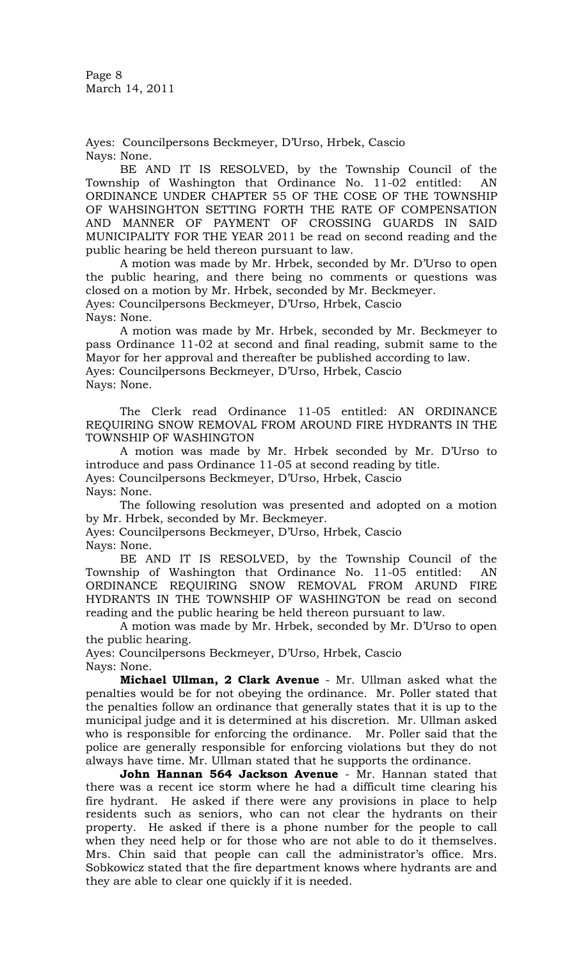Page 8 March 14, 2011

Ayes: Councilpersons Beckmeyer, D'Urso, Hrbek, Cascio Nays: None.

BE AND IT IS RESOLVED, by the Township Council of the Township of Washington that Ordinance No. 11-02 entitled: AN ORDINANCE UNDER CHAPTER 55 OF THE COSE OF THE TOWNSHIP OF WAHSINGHTON SETTING FORTH THE RATE OF COMPENSATION AND MANNER OF PAYMENT OF CROSSING GUARDS IN SAID MUNICIPALITY FOR THE YEAR 2011 be read on second reading and the public hearing be held thereon pursuant to law.

A motion was made by Mr. Hrbek, seconded by Mr. D'Urso to open the public hearing, and there being no comments or questions was closed on a motion by Mr. Hrbek, seconded by Mr. Beckmeyer. Ayes: Councilpersons Beckmeyer, D'Urso, Hrbek, Cascio Nays: None.

A motion was made by Mr. Hrbek, seconded by Mr. Beckmeyer to pass Ordinance 11-02 at second and final reading, submit same to the Mayor for her approval and thereafter be published according to law. Ayes: Councilpersons Beckmeyer, D'Urso, Hrbek, Cascio Nays: None.

The Clerk read Ordinance 11-05 entitled: AN ORDINANCE REQUIRING SNOW REMOVAL FROM AROUND FIRE HYDRANTS IN THE TOWNSHIP OF WASHINGTON

A motion was made by Mr. Hrbek seconded by Mr. D'Urso to introduce and pass Ordinance 11-05 at second reading by title. Ayes: Councilpersons Beckmeyer, D'Urso, Hrbek, Cascio Nays: None.

The following resolution was presented and adopted on a motion by Mr. Hrbek, seconded by Mr. Beckmeyer.

Ayes: Councilpersons Beckmeyer, D'Urso, Hrbek, Cascio Nays: None.

BE AND IT IS RESOLVED, by the Township Council of the Township of Washington that Ordinance No. 11-05 entitled: AN ORDINANCE REQUIRING SNOW REMOVAL FROM ARUND FIRE HYDRANTS IN THE TOWNSHIP OF WASHINGTON be read on second reading and the public hearing be held thereon pursuant to law.

A motion was made by Mr. Hrbek, seconded by Mr. D'Urso to open the public hearing.

Ayes: Councilpersons Beckmeyer, D'Urso, Hrbek, Cascio Nays: None.

**Michael Ullman, 2 Clark Avenue** - Mr. Ullman asked what the penalties would be for not obeying the ordinance. Mr. Poller stated that the penalties follow an ordinance that generally states that it is up to the municipal judge and it is determined at his discretion. Mr. Ullman asked who is responsible for enforcing the ordinance. Mr. Poller said that the police are generally responsible for enforcing violations but they do not always have time. Mr. Ullman stated that he supports the ordinance.

**John Hannan 564 Jackson Avenue** - Mr. Hannan stated that there was a recent ice storm where he had a difficult time clearing his fire hydrant. He asked if there were any provisions in place to help residents such as seniors, who can not clear the hydrants on their property. He asked if there is a phone number for the people to call when they need help or for those who are not able to do it themselves. Mrs. Chin said that people can call the administrator's office. Mrs. Sobkowicz stated that the fire department knows where hydrants are and they are able to clear one quickly if it is needed.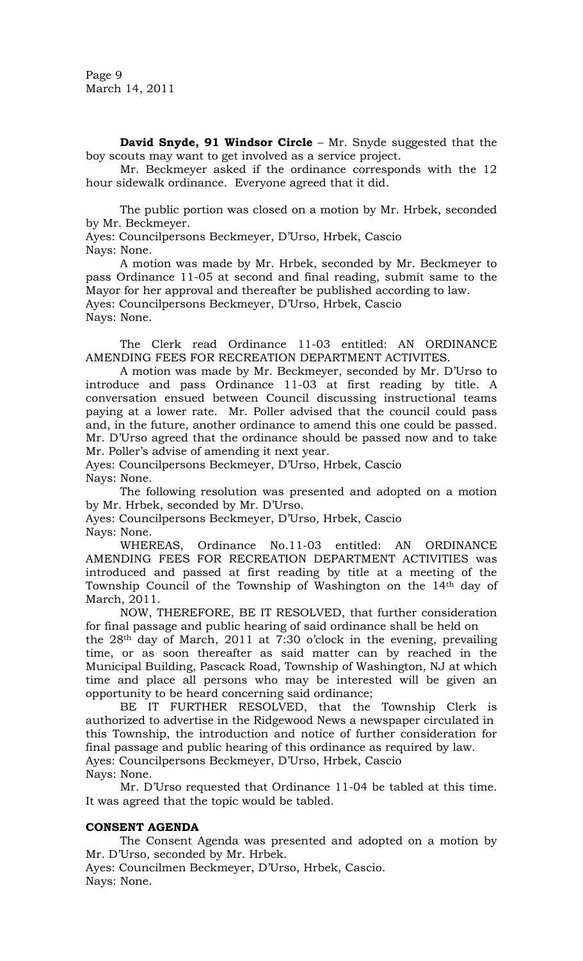Page 9 March 14, 2011

**David Snyde, 91 Windsor Circle** – Mr. Snyde suggested that the boy scouts may want to get involved as a service project.

Mr. Beckmeyer asked if the ordinance corresponds with the 12 hour sidewalk ordinance. Everyone agreed that it did.

The public portion was closed on a motion by Mr. Hrbek, seconded by Mr. Beckmeyer.

Ayes: Councilpersons Beckmeyer, D'Urso, Hrbek, Cascio Nays: None.

A motion was made by Mr. Hrbek, seconded by Mr. Beckmeyer to pass Ordinance 11-05 at second and final reading, submit same to the Mayor for her approval and thereafter be published according to law. Ayes: Councilpersons Beckmeyer, D'Urso, Hrbek, Cascio Nays: None.

The Clerk read Ordinance 11-03 entitled: AN ORDINANCE AMENDING FEES FOR RECREATION DEPARTMENT ACTIVITES.

A motion was made by Mr. Beckmeyer, seconded by Mr. D'Urso to introduce and pass Ordinance 11-03 at first reading by title. A conversation ensued between Council discussing instructional teams paying at a lower rate. Mr. Poller advised that the council could pass and, in the future, another ordinance to amend this one could be passed. Mr. D'Urso agreed that the ordinance should be passed now and to take Mr. Poller's advise of amending it next year.

Ayes: Councilpersons Beckmeyer, D'Urso, Hrbek, Cascio Nays: None.

The following resolution was presented and adopted on a motion by Mr. Hrbek, seconded by Mr. D'Urso.

Ayes: Councilpersons Beckmeyer, D'Urso, Hrbek, Cascio

Nays: None.

WHEREAS, Ordinance No.11-03 entitled: AN ORDINANCE AMENDING FEES FOR RECREATION DEPARTMENT ACTIVITIES was introduced and passed at first reading by title at a meeting of the Township Council of the Township of Washington on the 14th day of March, 2011.

NOW, THEREFORE, BE IT RESOLVED, that further consideration for final passage and public hearing of said ordinance shall be held on

the 28th day of March, 2011 at 7:30 o'clock in the evening, prevailing time, or as soon thereafter as said matter can by reached in the Municipal Building, Pascack Road, Township of Washington, NJ at which time and place all persons who may be interested will be given an opportunity to be heard concerning said ordinance;

BE IT FURTHER RESOLVED, that the Township Clerk is authorized to advertise in the Ridgewood News a newspaper circulated in this Township, the introduction and notice of further consideration for final passage and public hearing of this ordinance as required by law. Ayes: Councilpersons Beckmeyer, D'Urso, Hrbek, Cascio

Nays: None.

Mr. D'Urso requested that Ordinance 11-04 be tabled at this time. It was agreed that the topic would be tabled.

# **CONSENT AGENDA**

The Consent Agenda was presented and adopted on a motion by Mr. D'Urso, seconded by Mr. Hrbek.

Ayes: Councilmen Beckmeyer, D'Urso, Hrbek, Cascio. Nays: None.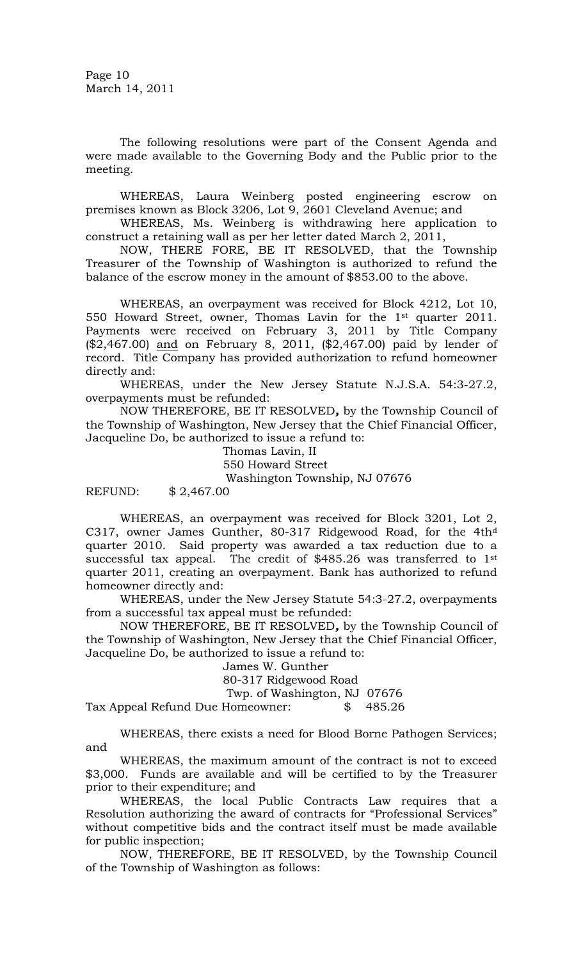Page 10 March 14, 2011

The following resolutions were part of the Consent Agenda and were made available to the Governing Body and the Public prior to the meeting.

WHEREAS, Laura Weinberg posted engineering escrow on premises known as Block 3206, Lot 9, 2601 Cleveland Avenue; and

WHEREAS, Ms. Weinberg is withdrawing here application to construct a retaining wall as per her letter dated March 2, 2011,

NOW, THERE FORE, BE IT RESOLVED, that the Township Treasurer of the Township of Washington is authorized to refund the balance of the escrow money in the amount of \$853.00 to the above.

WHEREAS, an overpayment was received for Block 4212, Lot 10, 550 Howard Street, owner, Thomas Lavin for the 1st quarter 2011. Payments were received on February 3, 2011 by Title Company (\$2,467.00) and on February 8, 2011, (\$2,467.00) paid by lender of record. Title Company has provided authorization to refund homeowner directly and:

WHEREAS, under the New Jersey Statute N.J.S.A. 54:3-27.2, overpayments must be refunded:

NOW THEREFORE, BE IT RESOLVED*,* by the Township Council of the Township of Washington, New Jersey that the Chief Financial Officer, Jacqueline Do, be authorized to issue a refund to:

> Thomas Lavin, II 550 Howard Street Washington Township, NJ 07676

REFUND: \$ 2,467.00

WHEREAS, an overpayment was received for Block 3201, Lot 2, C317, owner James Gunther, 80-317 Ridgewood Road, for the 4th<sup>d</sup> quarter 2010. Said property was awarded a tax reduction due to a successful tax appeal. The credit of \$485.26 was transferred to 1<sup>st</sup> quarter 2011, creating an overpayment. Bank has authorized to refund homeowner directly and:

WHEREAS, under the New Jersey Statute 54:3-27.2, overpayments from a successful tax appeal must be refunded:

NOW THEREFORE, BE IT RESOLVED*,* by the Township Council of the Township of Washington, New Jersey that the Chief Financial Officer, Jacqueline Do, be authorized to issue a refund to:

James W. Gunther

80-317 Ridgewood Road

Twp. of Washington, NJ 07676

Tax Appeal Refund Due Homeowner: \$ 485.26

WHEREAS, there exists a need for Blood Borne Pathogen Services; and

WHEREAS, the maximum amount of the contract is not to exceed \$3,000. Funds are available and will be certified to by the Treasurer prior to their expenditure; and

WHEREAS, the local Public Contracts Law requires that a Resolution authorizing the award of contracts for "Professional Services" without competitive bids and the contract itself must be made available for public inspection;

NOW, THEREFORE, BE IT RESOLVED, by the Township Council of the Township of Washington as follows: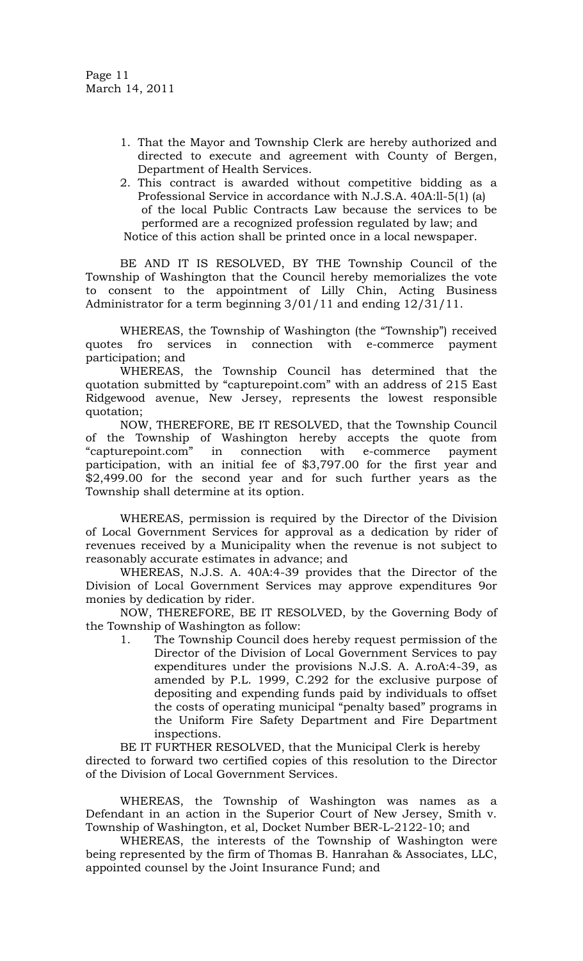- 1. That the Mayor and Township Clerk are hereby authorized and directed to execute and agreement with County of Bergen, Department of Health Services.
- 2. This contract is awarded without competitive bidding as a Professional Service in accordance with N.J.S.A. 40A:ll-5(1) (a) of the local Public Contracts Law because the services to be performed are a recognized profession regulated by law; and Notice of this action shall be printed once in a local newspaper.

BE AND IT IS RESOLVED, BY THE Township Council of the Township of Washington that the Council hereby memorializes the vote to consent to the appointment of Lilly Chin, Acting Business Administrator for a term beginning 3/01/11 and ending 12/31/11.

WHEREAS, the Township of Washington (the "Township") received quotes fro services in connection with e-commerce payment participation; and

WHEREAS, the Township Council has determined that the quotation submitted by "capturepoint.com" with an address of 215 East Ridgewood avenue, New Jersey, represents the lowest responsible quotation;

NOW, THEREFORE, BE IT RESOLVED, that the Township Council of the Township of Washington hereby accepts the quote from ―capturepoint.com‖ in connection with e-commerce payment participation, with an initial fee of \$3,797.00 for the first year and \$2,499.00 for the second year and for such further years as the Township shall determine at its option.

WHEREAS, permission is required by the Director of the Division of Local Government Services for approval as a dedication by rider of revenues received by a Municipality when the revenue is not subject to reasonably accurate estimates in advance; and

WHEREAS, N.J.S. A. 40A:4-39 provides that the Director of the Division of Local Government Services may approve expenditures 9or monies by dedication by rider.

NOW, THEREFORE, BE IT RESOLVED, by the Governing Body of the Township of Washington as follow:

1. The Township Council does hereby request permission of the Director of the Division of Local Government Services to pay expenditures under the provisions N.J.S. A. A.roA:4-39, as amended by P.L. 1999, C.292 for the exclusive purpose of depositing and expending funds paid by individuals to offset the costs of operating municipal "penalty based" programs in the Uniform Fire Safety Department and Fire Department inspections.

BE IT FURTHER RESOLVED, that the Municipal Clerk is hereby directed to forward two certified copies of this resolution to the Director of the Division of Local Government Services.

WHEREAS, the Township of Washington was names as a Defendant in an action in the Superior Court of New Jersey, Smith v. Township of Washington, et al, Docket Number BER-L-2122-10; and

WHEREAS, the interests of the Township of Washington were being represented by the firm of Thomas B. Hanrahan & Associates, LLC, appointed counsel by the Joint Insurance Fund; and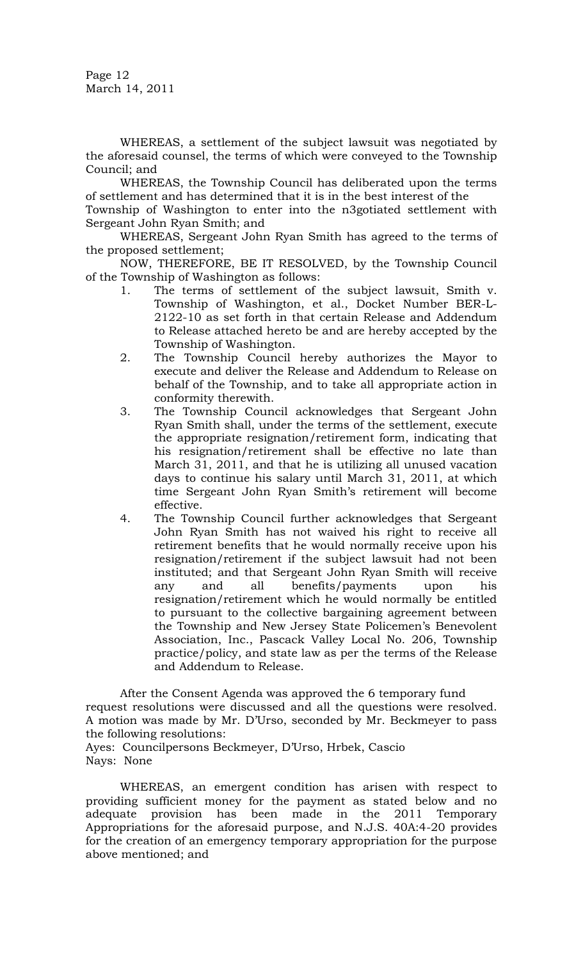Page 12 March 14, 2011

WHEREAS, a settlement of the subject lawsuit was negotiated by the aforesaid counsel, the terms of which were conveyed to the Township Council; and

WHEREAS, the Township Council has deliberated upon the terms of settlement and has determined that it is in the best interest of the

Township of Washington to enter into the n3gotiated settlement with Sergeant John Ryan Smith; and

WHEREAS, Sergeant John Ryan Smith has agreed to the terms of the proposed settlement;

NOW, THEREFORE, BE IT RESOLVED, by the Township Council of the Township of Washington as follows:

- 1. The terms of settlement of the subject lawsuit, Smith v. Township of Washington, et al., Docket Number BER-L-2122-10 as set forth in that certain Release and Addendum to Release attached hereto be and are hereby accepted by the Township of Washington.
- 2. The Township Council hereby authorizes the Mayor to execute and deliver the Release and Addendum to Release on behalf of the Township, and to take all appropriate action in conformity therewith.
- 3. The Township Council acknowledges that Sergeant John Ryan Smith shall, under the terms of the settlement, execute the appropriate resignation/retirement form, indicating that his resignation/retirement shall be effective no late than March 31, 2011, and that he is utilizing all unused vacation days to continue his salary until March 31, 2011, at which time Sergeant John Ryan Smith's retirement will become effective.
- 4. The Township Council further acknowledges that Sergeant John Ryan Smith has not waived his right to receive all retirement benefits that he would normally receive upon his resignation/retirement if the subject lawsuit had not been instituted; and that Sergeant John Ryan Smith will receive any and all benefits/payments upon his resignation/retirement which he would normally be entitled to pursuant to the collective bargaining agreement between the Township and New Jersey State Policemen's Benevolent Association, Inc., Pascack Valley Local No. 206, Township practice/policy, and state law as per the terms of the Release and Addendum to Release.

After the Consent Agenda was approved the 6 temporary fund request resolutions were discussed and all the questions were resolved. A motion was made by Mr. D'Urso, seconded by Mr. Beckmeyer to pass the following resolutions:

Ayes: Councilpersons Beckmeyer, D'Urso, Hrbek, Cascio Nays: None

WHEREAS, an emergent condition has arisen with respect to providing sufficient money for the payment as stated below and no adequate provision has been made in the 2011 Temporary Appropriations for the aforesaid purpose, and N.J.S. 40A:4-20 provides for the creation of an emergency temporary appropriation for the purpose above mentioned; and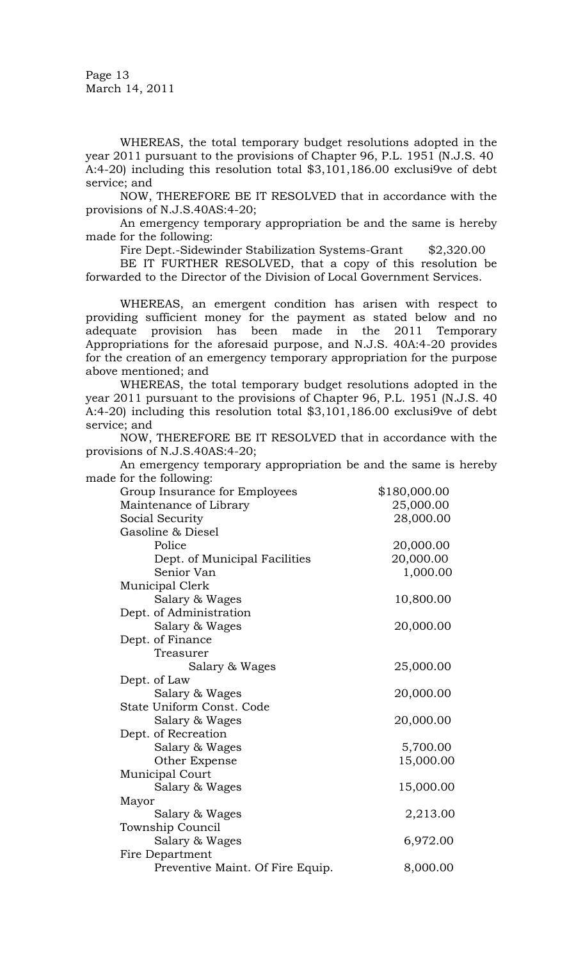Page 13 March 14, 2011

WHEREAS, the total temporary budget resolutions adopted in the year 2011 pursuant to the provisions of Chapter 96, P.L. 1951 (N.J.S. 40 A:4-20) including this resolution total \$3,101,186.00 exclusi9ve of debt service; and

NOW, THEREFORE BE IT RESOLVED that in accordance with the provisions of N.J.S.40AS:4-20;

An emergency temporary appropriation be and the same is hereby made for the following:

Fire Dept.-Sidewinder Stabilization Systems-Grant \$2,320.00

BE IT FURTHER RESOLVED, that a copy of this resolution be forwarded to the Director of the Division of Local Government Services.

WHEREAS, an emergent condition has arisen with respect to providing sufficient money for the payment as stated below and no adequate provision has been made in the 2011 Temporary Appropriations for the aforesaid purpose, and N.J.S. 40A:4-20 provides for the creation of an emergency temporary appropriation for the purpose above mentioned; and

WHEREAS, the total temporary budget resolutions adopted in the year 2011 pursuant to the provisions of Chapter 96, P.L. 1951 (N.J.S. 40 A:4-20) including this resolution total \$3,101,186.00 exclusi9ve of debt service; and

NOW, THEREFORE BE IT RESOLVED that in accordance with the provisions of N.J.S.40AS:4-20;

An emergency temporary appropriation be and the same is hereby made for the following:

| $101 \text{ cm}$ $1010 \text{ m}$ |              |
|-----------------------------------|--------------|
| Group Insurance for Employees     | \$180,000.00 |
| Maintenance of Library            | 25,000.00    |
| Social Security                   | 28,000.00    |
| Gasoline & Diesel                 |              |
| Police                            | 20,000.00    |
| Dept. of Municipal Facilities     | 20,000.00    |
| Senior Van                        | 1,000.00     |
| Municipal Clerk                   |              |
| Salary & Wages                    | 10,800.00    |
| Dept. of Administration           |              |
| Salary & Wages                    | 20,000.00    |
| Dept. of Finance                  |              |
| Treasurer                         |              |
| Salary & Wages                    | 25,000.00    |
| Dept. of Law                      |              |
| Salary & Wages                    | 20,000.00    |
| State Uniform Const. Code         |              |
| Salary & Wages                    | 20,000.00    |
| Dept. of Recreation               |              |
| Salary & Wages                    | 5,700.00     |
| Other Expense                     | 15,000.00    |
| Municipal Court                   |              |
| Salary & Wages                    | 15,000.00    |
| Mayor                             |              |
| Salary & Wages                    | 2,213.00     |
| Township Council                  |              |
| Salary & Wages                    | 6,972.00     |
| Fire Department                   |              |
| Preventive Maint. Of Fire Equip.  | 8,000.00     |
|                                   |              |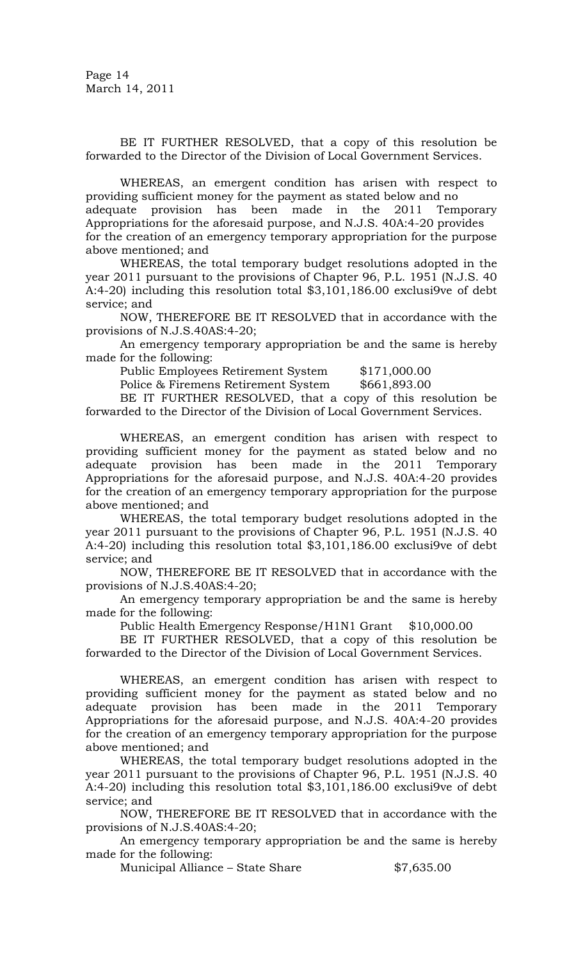BE IT FURTHER RESOLVED, that a copy of this resolution be forwarded to the Director of the Division of Local Government Services.

WHEREAS, an emergent condition has arisen with respect to providing sufficient money for the payment as stated below and no

adequate provision has been made in the 2011 Temporary Appropriations for the aforesaid purpose, and N.J.S. 40A:4-20 provides

for the creation of an emergency temporary appropriation for the purpose above mentioned; and

WHEREAS, the total temporary budget resolutions adopted in the year 2011 pursuant to the provisions of Chapter 96, P.L. 1951 (N.J.S. 40 A:4-20) including this resolution total \$3,101,186.00 exclusi9ve of debt service; and

NOW, THEREFORE BE IT RESOLVED that in accordance with the provisions of N.J.S.40AS:4-20;

An emergency temporary appropriation be and the same is hereby made for the following:

Public Employees Retirement System \$171,000.00

Police & Firemens Retirement System \$661,893.00

BE IT FURTHER RESOLVED, that a copy of this resolution be forwarded to the Director of the Division of Local Government Services.

WHEREAS, an emergent condition has arisen with respect to providing sufficient money for the payment as stated below and no adequate provision has been made in the 2011 Temporary Appropriations for the aforesaid purpose, and N.J.S. 40A:4-20 provides for the creation of an emergency temporary appropriation for the purpose above mentioned; and

WHEREAS, the total temporary budget resolutions adopted in the year 2011 pursuant to the provisions of Chapter 96, P.L. 1951 (N.J.S. 40 A:4-20) including this resolution total \$3,101,186.00 exclusi9ve of debt service; and

NOW, THEREFORE BE IT RESOLVED that in accordance with the provisions of N.J.S.40AS:4-20;

An emergency temporary appropriation be and the same is hereby made for the following:

Public Health Emergency Response/H1N1 Grant \$10,000.00

BE IT FURTHER RESOLVED, that a copy of this resolution be forwarded to the Director of the Division of Local Government Services.

WHEREAS, an emergent condition has arisen with respect to providing sufficient money for the payment as stated below and no adequate provision has been made in the 2011 Temporary Appropriations for the aforesaid purpose, and N.J.S. 40A:4-20 provides for the creation of an emergency temporary appropriation for the purpose above mentioned; and

WHEREAS, the total temporary budget resolutions adopted in the year 2011 pursuant to the provisions of Chapter 96, P.L. 1951 (N.J.S. 40 A:4-20) including this resolution total \$3,101,186.00 exclusi9ve of debt service; and

NOW, THEREFORE BE IT RESOLVED that in accordance with the provisions of N.J.S.40AS:4-20;

An emergency temporary appropriation be and the same is hereby made for the following:

Municipal Alliance – State Share  $$7,635.00$